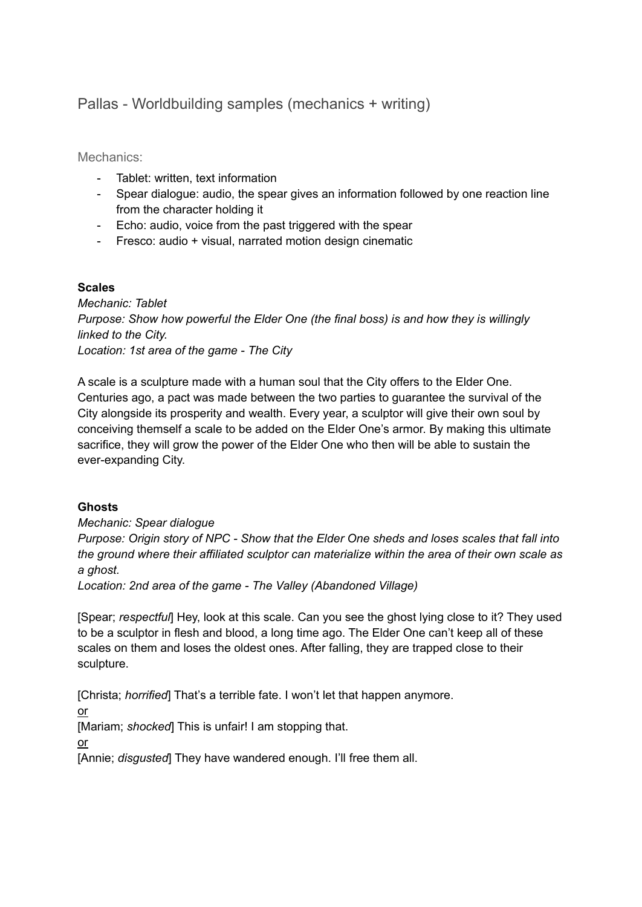# Pallas - Worldbuilding samples (mechanics + writing)

Mechanics:

- Tablet: written, text information
- Spear dialogue: audio, the spear gives an information followed by one reaction line from the character holding it
- Echo: audio, voice from the past triggered with the spear
- Fresco: audio + visual, narrated motion design cinematic

## **Scales**

*Mechanic: Tablet Purpose: Show how powerful the Elder One (the final boss) is and how they is willingly linked to the City. Location: 1st area of the game - The City*

A scale is a sculpture made with a human soul that the City offers to the Elder One. Centuries ago, a pact was made between the two parties to guarantee the survival of the City alongside its prosperity and wealth. Every year, a sculptor will give their own soul by conceiving themself a scale to be added on the Elder One's armor. By making this ultimate sacrifice, they will grow the power of the Elder One who then will be able to sustain the ever-expanding City.

# **Ghosts**

*Mechanic: Spear dialogue*

*Purpose: Origin story of NPC - Show that the Elder One sheds and loses scales that fall into the ground where their affiliated sculptor can materialize within the area of their own scale as a ghost.*

*Location: 2nd area of the game - The Valley (Abandoned Village)*

[Spear; *respectful*] Hey, look at this scale. Can you see the ghost lying close to it? They used to be a sculptor in flesh and blood, a long time ago. The Elder One can't keep all of these scales on them and loses the oldest ones. After falling, they are trapped close to their sculpture.

[Christa; *horrified*] That's a terrible fate. I won't let that happen anymore.

or

[Mariam; *shocked*] This is unfair! I am stopping that.

or

[Annie; *disgusted*] They have wandered enough. I'll free them all.